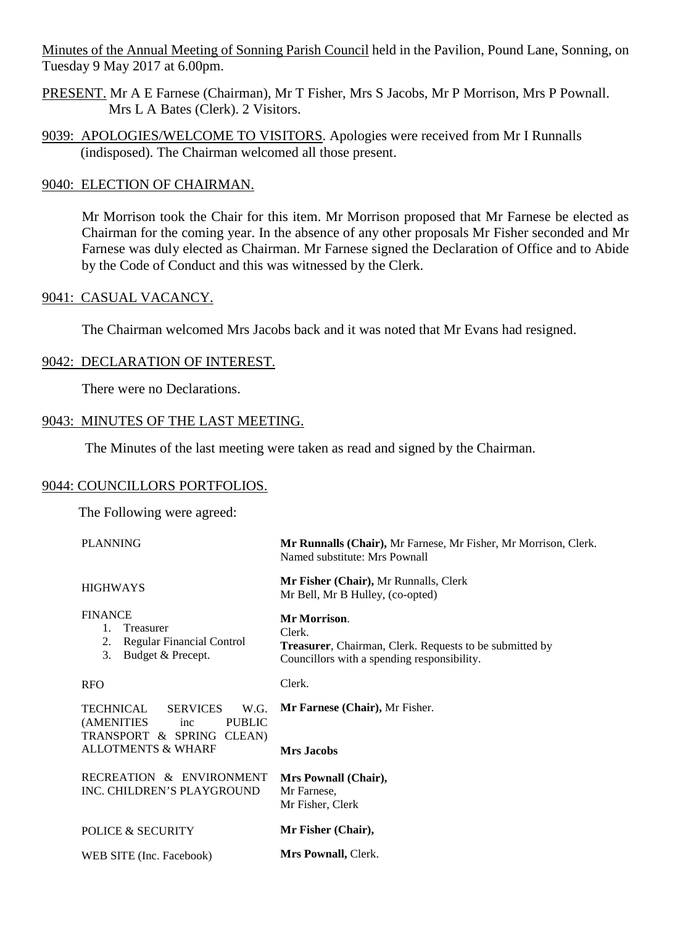Minutes of the Annual Meeting of Sonning Parish Council held in the Pavilion, Pound Lane, Sonning, on Tuesday 9 May 2017 at 6.00pm.

- PRESENT. Mr A E Farnese (Chairman), Mr T Fisher, Mrs S Jacobs, Mr P Morrison, Mrs P Pownall. Mrs L A Bates (Clerk). 2 Visitors.
- 9039: APOLOGIES/WELCOME TO VISITORS. Apologies were received from Mr I Runnalls (indisposed). The Chairman welcomed all those present.

### 9040: ELECTION OF CHAIRMAN.

Mr Morrison took the Chair for this item. Mr Morrison proposed that Mr Farnese be elected as Chairman for the coming year. In the absence of any other proposals Mr Fisher seconded and Mr Farnese was duly elected as Chairman. Mr Farnese signed the Declaration of Office and to Abide by the Code of Conduct and this was witnessed by the Clerk.

### 9041: CASUAL VACANCY.

The Chairman welcomed Mrs Jacobs back and it was noted that Mr Evans had resigned.

### 9042: DECLARATION OF INTEREST.

There were no Declarations.

### 9043: MINUTES OF THE LAST MEETING.

The Minutes of the last meeting were taken as read and signed by the Chairman.

### 9044: COUNCILLORS PORTFOLIOS.

The Following were agreed:

PLANNING HIGHWAYS FINANCE 1. Treasurer 2. Regular Financial Control 3. Budget & Precept. RFO TECHNICAL SERVICES W.G. (AMENITIES inc PUBLIC TRANSPORT & SPRING CLEAN) ALLOTMENTS & WHARF RECREATION & ENVIRONMENT INC. CHILDREN'S PLAYGROUND POLICE & SECURITY WEB SITE (Inc. Facebook) **Mr Runnalls (Chair),** Mr Farnese, Mr Fisher, Mr Morrison, Clerk. Named substitute: Mrs Pownall **Mr Fisher (Chair),** Mr Runnalls, Clerk Mr Bell, Mr B Hulley, (co-opted) **Mr Morrison**. Clerk. **Treasurer**, Chairman, Clerk. Requests to be submitted by Councillors with a spending responsibility. Clerk. **Mr Farnese (Chair),** Mr Fisher. **Mrs Jacobs Mrs Pownall (Chair),** Mr Farnese, Mr Fisher, Clerk **Mr Fisher (Chair), Mrs Pownall,** Clerk.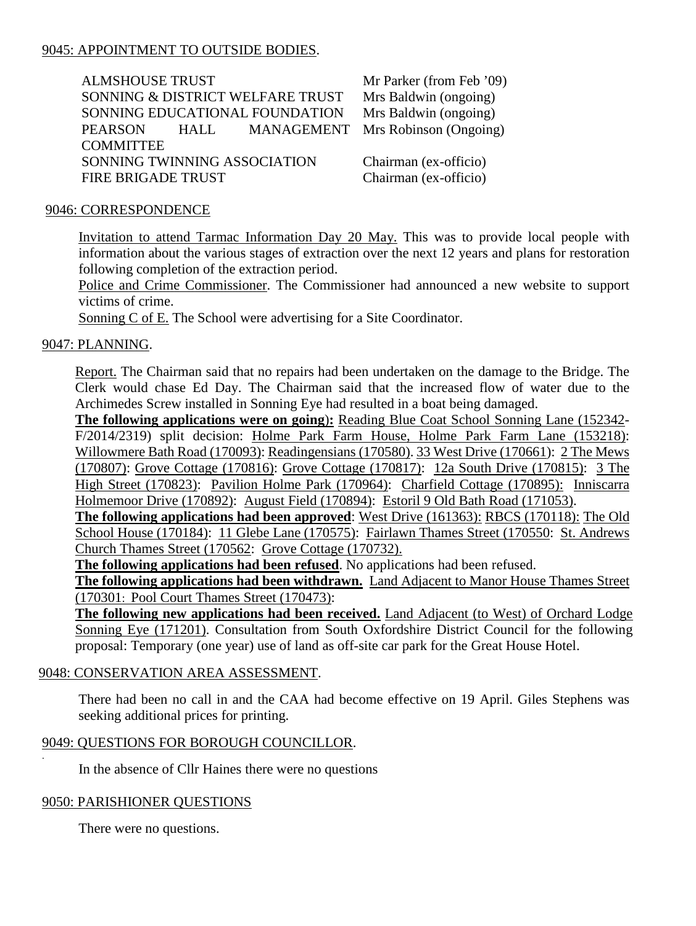# 9045: APPOINTMENT TO OUTSIDE BODIES.

| <b>ALMSHOUSE TRUST</b>       |            |                                  | Mr Parker (from Feb '09)          |  |
|------------------------------|------------|----------------------------------|-----------------------------------|--|
|                              |            | SONNING & DISTRICT WELFARE TRUST | Mrs Baldwin (ongoing)             |  |
|                              |            | SONNING EDUCATIONAL FOUNDATION   | Mrs Baldwin (ongoing)             |  |
| <b>PEARSON</b>               | HALL THE T |                                  | MANAGEMENT Mrs Robinson (Ongoing) |  |
| <b>COMMITTEE</b>             |            |                                  |                                   |  |
| SONNING TWINNING ASSOCIATION |            | Chairman (ex-officio)            |                                   |  |
| FIRE BRIGADE TRUST           |            | Chairman (ex-officio)            |                                   |  |

#### 9046: CORRESPONDENCE

Invitation to attend Tarmac Information Day 20 May. This was to provide local people with information about the various stages of extraction over the next 12 years and plans for restoration following completion of the extraction period.

Police and Crime Commissioner. The Commissioner had announced a new website to support victims of crime.

Sonning C of E. The School were advertising for a Site Coordinator.

### 9047: PLANNING.

Report. The Chairman said that no repairs had been undertaken on the damage to the Bridge. The Clerk would chase Ed Day. The Chairman said that the increased flow of water due to the Archimedes Screw installed in Sonning Eye had resulted in a boat being damaged.

**The following applications were on going**)**:** Reading Blue Coat School Sonning Lane (152342- F/2014/2319) split decision: Holme Park Farm House, Holme Park Farm Lane (153218): Willowmere Bath Road (170093): Readingensians (170580). 33 West Drive (170661): 2 The Mews (170807): Grove Cottage (170816): Grove Cottage (170817): 12a South Drive (170815): 3 The High Street (170823): Pavilion Holme Park (170964): Charfield Cottage (170895): Inniscarra Holmemoor Drive (170892): August Field (170894): Estoril 9 Old Bath Road (171053).

**The following applications had been approved**: West Drive (161363): RBCS (170118): The Old School House (170184): 11 Glebe Lane (170575): Fairlawn Thames Street (170550: St. Andrews Church Thames Street (170562: Grove Cottage (170732).

**The following applications had been refused**. No applications had been refused.

**The following applications had been withdrawn.** Land Adjacent to Manor House Thames Street (170301: Pool Court Thames Street (170473):

**The following new applications had been received.** Land Adjacent (to West) of Orchard Lodge Sonning Eye (171201). Consultation from South Oxfordshire District Council for the following proposal: Temporary (one year) use of land as off-site car park for the Great House Hotel.

### 9048: CONSERVATION AREA ASSESSMENT.

There had been no call in and the CAA had become effective on 19 April. Giles Stephens was seeking additional prices for printing.

### 9049: QUESTIONS FOR BOROUGH COUNCILLOR.

In the absence of Cllr Haines there were no questions

### 9050: PARISHIONER QUESTIONS

.

There were no questions.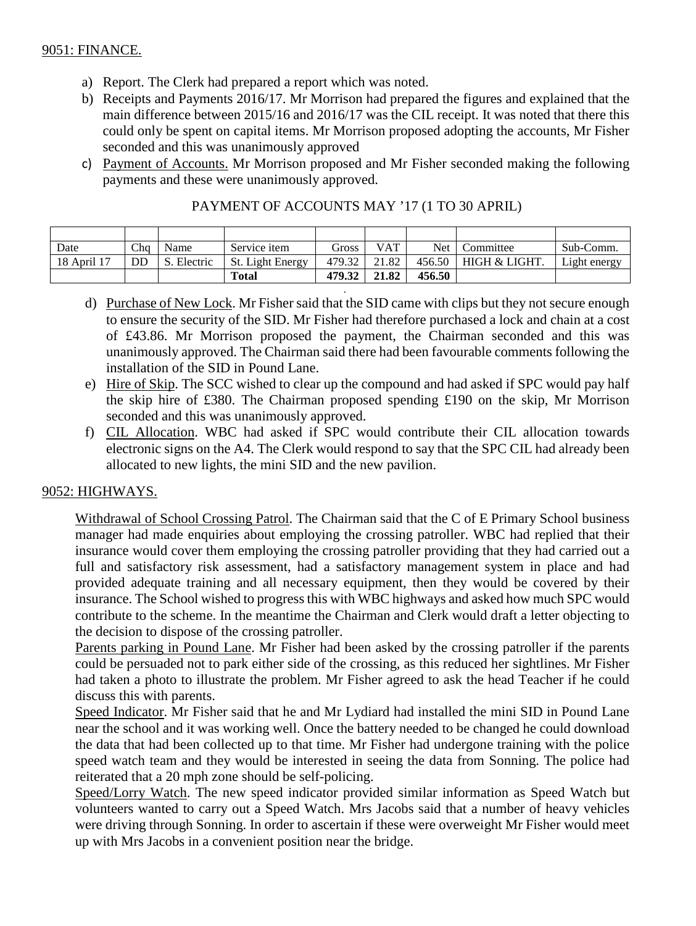### 9051: FINANCE.

- a) Report. The Clerk had prepared a report which was noted.
- b) Receipts and Payments 2016/17. Mr Morrison had prepared the figures and explained that the main difference between 2015/16 and 2016/17 was the CIL receipt. It was noted that there this could only be spent on capital items. Mr Morrison proposed adopting the accounts, Mr Fisher seconded and this was unanimously approved
- c) Payment of Accounts. Mr Morrison proposed and Mr Fisher seconded making the following payments and these were unanimously approved.

| Date        | Cha | Name     | Service item     | Gross  | <b>VAT</b> | <b>Net</b> | Committee     | Sub-Comm.    |
|-------------|-----|----------|------------------|--------|------------|------------|---------------|--------------|
| 18 April 17 | DD  | Electric | St. Light Energy | 479.32 | 21.82      | 456.50     | HIGH & LIGHT. | Light energy |
|             |     |          | <b>Total</b>     | 479.32 | 21.82      | 456.50     |               |              |

.

|  | PAYMENT OF ACCOUNTS MAY '17 (1 TO 30 APRIL) |  |  |
|--|---------------------------------------------|--|--|
|  |                                             |  |  |

- d) Purchase of New Lock. Mr Fisher said that the SID came with clips but they not secure enough to ensure the security of the SID. Mr Fisher had therefore purchased a lock and chain at a cost of £43.86. Mr Morrison proposed the payment, the Chairman seconded and this was unanimously approved. The Chairman said there had been favourable comments following the installation of the SID in Pound Lane.
- e) Hire of Skip. The SCC wished to clear up the compound and had asked if SPC would pay half the skip hire of £380. The Chairman proposed spending £190 on the skip, Mr Morrison seconded and this was unanimously approved.
- f) CIL Allocation. WBC had asked if SPC would contribute their CIL allocation towards electronic signs on the A4. The Clerk would respond to say that the SPC CIL had already been allocated to new lights, the mini SID and the new pavilion.

# 9052: HIGHWAYS.

Withdrawal of School Crossing Patrol. The Chairman said that the C of E Primary School business manager had made enquiries about employing the crossing patroller. WBC had replied that their insurance would cover them employing the crossing patroller providing that they had carried out a full and satisfactory risk assessment, had a satisfactory management system in place and had provided adequate training and all necessary equipment, then they would be covered by their insurance. The School wished to progress this with WBC highways and asked how much SPC would contribute to the scheme. In the meantime the Chairman and Clerk would draft a letter objecting to the decision to dispose of the crossing patroller.

Parents parking in Pound Lane. Mr Fisher had been asked by the crossing patroller if the parents could be persuaded not to park either side of the crossing, as this reduced her sightlines. Mr Fisher had taken a photo to illustrate the problem. Mr Fisher agreed to ask the head Teacher if he could discuss this with parents.

Speed Indicator. Mr Fisher said that he and Mr Lydiard had installed the mini SID in Pound Lane near the school and it was working well. Once the battery needed to be changed he could download the data that had been collected up to that time. Mr Fisher had undergone training with the police speed watch team and they would be interested in seeing the data from Sonning. The police had reiterated that a 20 mph zone should be self-policing.

Speed/Lorry Watch. The new speed indicator provided similar information as Speed Watch but volunteers wanted to carry out a Speed Watch. Mrs Jacobs said that a number of heavy vehicles were driving through Sonning. In order to ascertain if these were overweight Mr Fisher would meet up with Mrs Jacobs in a convenient position near the bridge.